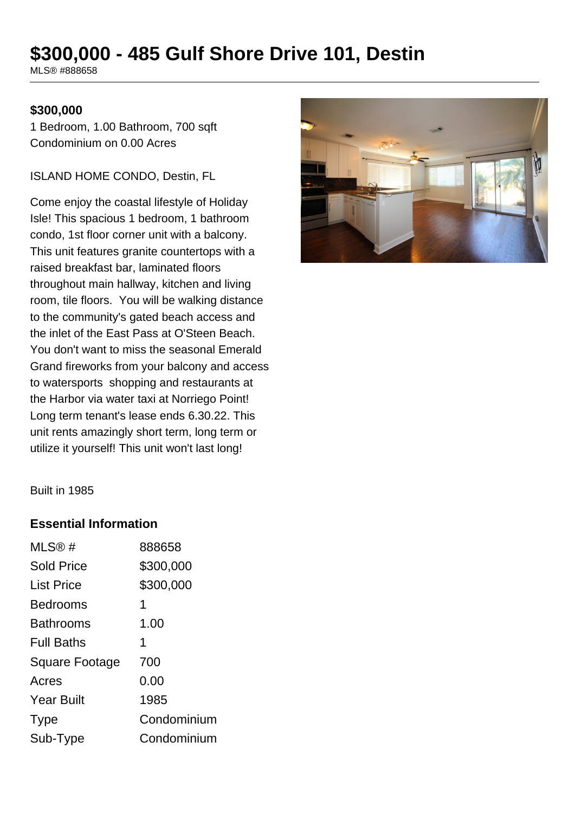# **\$300,000 - 485 Gulf Shore Drive 101, Destin**

MLS® #888658

#### **\$300,000**

1 Bedroom, 1.00 Bathroom, 700 sqft Condominium on 0.00 Acres

ISLAND HOME CONDO, Destin, FL

Come enjoy the coastal lifestyle of Holiday Isle! This spacious 1 bedroom, 1 bathroom condo, 1st floor corner unit with a balcony. This unit features granite countertops with a raised breakfast bar, laminated floors throughout main hallway, kitchen and living room, tile floors. You will be walking distance to the community's gated beach access and the inlet of the East Pass at O'Steen Beach. You don't want to miss the seasonal Emerald Grand fireworks from your balcony and access to watersports shopping and restaurants at the Harbor via water taxi at Norriego Point! Long term tenant's lease ends 6.30.22. This unit rents amazingly short term, long term or utilize it yourself! This unit won't last long!



Built in 1985

#### **Essential Information**

| 888658      |
|-------------|
| \$300,000   |
| \$300,000   |
| 1           |
| 1.00        |
| 1           |
| 700         |
| 0.00        |
| 1985        |
| Condominium |
| Condominium |
|             |